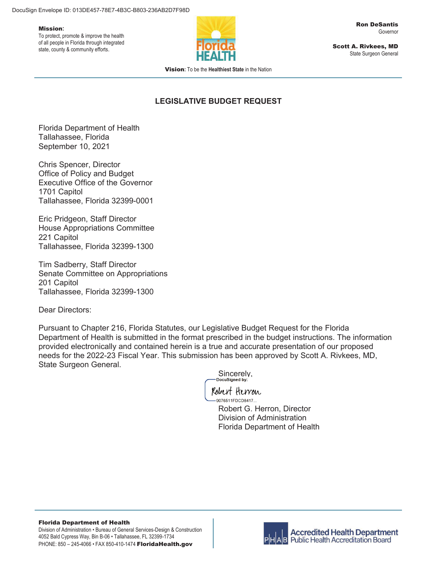#### Mission**:**

To protect, promote & improve the health of all people in Florida through integrated state, county & community efforts.



Scott A. Rivkees, MD State Surgeon General

Vision**:** To be the **Healthiest State** in the Nation

# **LEGISLATIVE BUDGET REQUEST**

Florida Department of Health Tallahassee, Florida September 10, 2021

Chris Spencer, Director Office of Policy and Budget Executive Office of the Governor 1701 Capitol Tallahassee, Florida 32399-0001

Eric Pridgeon, Staff Director House Appropriations Committee 221 Capitol Tallahassee, Florida 32399-1300

Tim Sadberry, Staff Director Senate Committee on Appropriations 201 Capitol Tallahassee, Florida 32399-1300

Dear Directors:

Pursuant to Chapter 216, Florida Statutes, our Legislative Budget Request for the Florida Department of Health is submitted in the format prescribed in the budget instructions. The information provided electronically and contained herein is a true and accurate presentation of our proposed needs for the 2022-23 Fiscal Year. This submission has been approved by Scott A. Rivkees, MD, State Surgeon General.

Sincerely,<br>Docusigned by:

Robert Herron -9076511FDCD8417...

> Robert G. Herron, Director Division of Administration Florida Department of Health

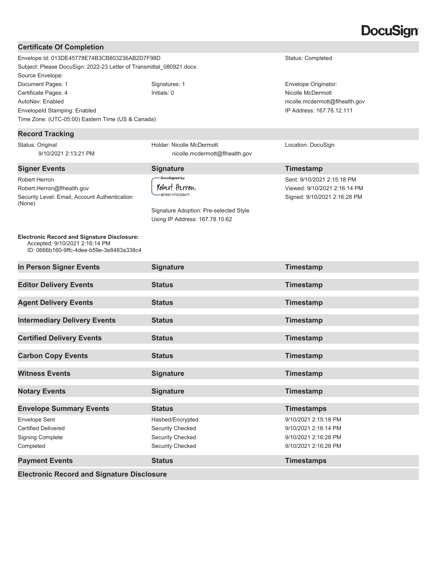# DocuSian

#### **Certificate Of Completion** Envelope Id: 013DE45778E74B3CB803236AB2D7F98D Status: Completed Subject: Please DocuSign: 2022-23 Letter of Transmittal\_080921.docx Source Envelope: Document Pages: 1 **Signatures: 1** Signatures: 1 **Envelope Originator: Envelope Originator:** Certificate Pages: 4 Initials: 0 Nicolle McDermott AutoNav: Enabled nicolle.mcdermott@flhealth.gov EnvelopeId Stamping: Enabled IP Address: 167.78.12.111 Time Zone: (UTC-05:00) Eastern Time (US & Canada) **Record Tracking** Status: Original Holder: Nicolle McDermott Location: DocuSign 9/10/2021 2:13:21 PM nicolle.mcdermott@flhealth.gov **Signer Events Signature Signature Signature Timestamp** DocuSigned by: Robert Herron Sent: 9/10/2021 2:15:18 PM Robert Herron Robert.Herron@flhealth.gov Viewed: 9/10/2021 2:16:14 PM 9076511FDCD8417... Security Level: Email, Account Authentication Signed: 9/10/2021 2:16:28 PM (None) Signature Adoption: Pre-selected Style Using IP Address: 167.78.10.62 **Electronic Record and Signature Disclosure:**  Accepted: 9/10/2021 2:16:14 PM ID: 0666b160-9ffc-4dee-b59e-3e8483a338c4 **In Person Signer Events Signature Signature Timestamp Editor Delivery Events Status Status Timestamp Agent Delivery Events Construction Status Agent Delivery Events Construction Status Timestamp Intermediary Delivery Events** Status Status Timestamp **Certified Delivery Events Status Status Timestamp Carbon Copy Events Status Status Carbon Copy Events Community Carbon Copy Events Witness Events Signature Signature Timestamp Notary Events Notary Events Signature Signature Timestamp Envelope Summary Events Status Status Timestamps** Envelope Sent Hashed/Encrypted 9/10/2021 2:15:18 PM Certified Delivered Security Checked 9/10/2021 2:16:14 PM Signing Complete Security Checked Security Checked 9/10/2021 2:16:28 PM Completed Security Checked 9/10/2021 2:16:28 PM **Payment Events Number 2 Status Status Timestamps Timestamps**

**Electronic Record and Signature Disclosure**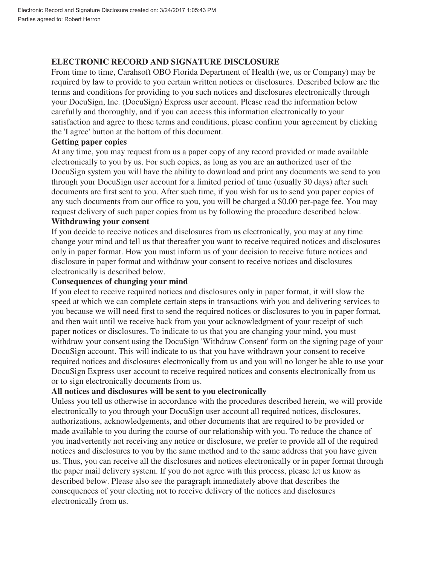# **ELECTRONIC RECORD AND SIGNATURE DISCLOSURE**

From time to time, Carahsoft OBO Florida Department of Health (we, us or Company) may be required by law to provide to you certain written notices or disclosures. Described below are the terms and conditions for providing to you such notices and disclosures electronically through your DocuSign, Inc. (DocuSign) Express user account. Please read the information below carefully and thoroughly, and if you can access this information electronically to your satisfaction and agree to these terms and conditions, please confirm your agreement by clicking the 'I agree' button at the bottom of this document.

### **Getting paper copies**

At any time, you may request from us a paper copy of any record provided or made available electronically to you by us. For such copies, as long as you are an authorized user of the DocuSign system you will have the ability to download and print any documents we send to you through your DocuSign user account for a limited period of time (usually 30 days) after such documents are first sent to you. After such time, if you wish for us to send you paper copies of any such documents from our office to you, you will be charged a \$0.00 per-page fee. You may request delivery of such paper copies from us by following the procedure described below.

## **Withdrawing your consent**

If you decide to receive notices and disclosures from us electronically, you may at any time change your mind and tell us that thereafter you want to receive required notices and disclosures only in paper format. How you must inform us of your decision to receive future notices and disclosure in paper format and withdraw your consent to receive notices and disclosures electronically is described below.

#### **Consequences of changing your mind**

If you elect to receive required notices and disclosures only in paper format, it will slow the speed at which we can complete certain steps in transactions with you and delivering services to you because we will need first to send the required notices or disclosures to you in paper format, and then wait until we receive back from you your acknowledgment of your receipt of such paper notices or disclosures. To indicate to us that you are changing your mind, you must withdraw your consent using the DocuSign 'Withdraw Consent' form on the signing page of your DocuSign account. This will indicate to us that you have withdrawn your consent to receive required notices and disclosures electronically from us and you will no longer be able to use your DocuSign Express user account to receive required notices and consents electronically from us or to sign electronically documents from us.

# **All notices and disclosures will be sent to you electronically**

Unless you tell us otherwise in accordance with the procedures described herein, we will provide electronically to you through your DocuSign user account all required notices, disclosures, authorizations, acknowledgements, and other documents that are required to be provided or made available to you during the course of our relationship with you. To reduce the chance of you inadvertently not receiving any notice or disclosure, we prefer to provide all of the required notices and disclosures to you by the same method and to the same address that you have given us. Thus, you can receive all the disclosures and notices electronically or in paper format through the paper mail delivery system. If you do not agree with this process, please let us know as described below. Please also see the paragraph immediately above that describes the consequences of your electing not to receive delivery of the notices and disclosures electronically from us.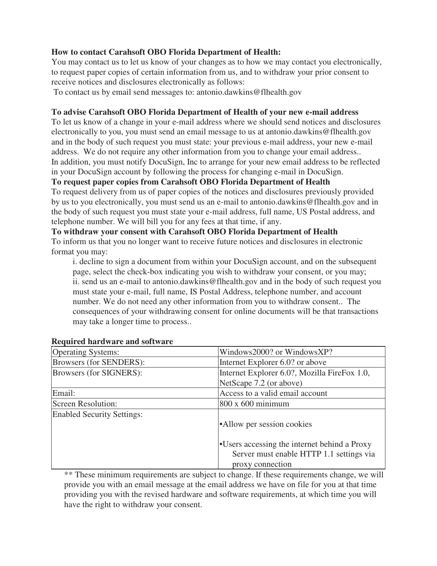# **How to contact Carahsoft OBO Florida Department of Health:**

You may contact us to let us know of your changes as to how we may contact you electronically, to request paper copies of certain information from us, and to withdraw your prior consent to receive notices and disclosures electronically as follows:

To contact us by email send messages to: antonio.dawkins@flhealth.gov

# **To advise Carahsoft OBO Florida Department of Health of your new e-mail address**

To let us know of a change in your e-mail address where we should send notices and disclosures electronically to you, you must send an email message to us at antonio.dawkins@flhealth.gov and in the body of such request you must state: your previous e-mail address, your new e-mail address. We do not require any other information from you to change your email address.. In addition, you must notify DocuSign, Inc to arrange for your new email address to be reflected in your DocuSign account by following the process for changing e-mail in DocuSign.

# **To request paper copies from Carahsoft OBO Florida Department of Health**

To request delivery from us of paper copies of the notices and disclosures previously provided by us to you electronically, you must send us an e-mail to antonio.dawkins@flhealth.gov and in the body of such request you must state your e-mail address, full name, US Postal address, and telephone number. We will bill you for any fees at that time, if any.

**To withdraw your consent with Carahsoft OBO Florida Department of Health** To inform us that you no longer want to receive future notices and disclosures in electronic format you may:

i. decline to sign a document from within your DocuSign account, and on the subsequent page, select the check-box indicating you wish to withdraw your consent, or you may; ii. send us an e-mail to antonio.dawkins@flhealth.gov and in the body of such request you must state your e-mail, full name, IS Postal Address, telephone number, and account number. We do not need any other information from you to withdraw consent.. The consequences of your withdrawing consent for online documents will be that transactions may take a longer time to process..

| <b>Operating Systems:</b>         | Windows2000? or WindowsXP?                   |
|-----------------------------------|----------------------------------------------|
| Browsers (for SENDERS):           | Internet Explorer 6.0? or above              |
| Browsers (for SIGNERS):           | Internet Explorer 6.0?, Mozilla FireFox 1.0, |
|                                   | NetScape 7.2 (or above)                      |
| Email:                            | Access to a valid email account              |
| <b>Screen Resolution:</b>         | $800 \times 600$ minimum                     |
| <b>Enabled Security Settings:</b> |                                              |
|                                   | • Allow per session cookies                  |
|                                   |                                              |
|                                   | •Users accessing the internet behind a Proxy |
|                                   | Server must enable HTTP 1.1 settings via     |
|                                   | proxy connection                             |

#### **Required hardware and software**

\*\* These minimum requirements are subject to change. If these requirements change, we will provide you with an email message at the email address we have on file for you at that time providing you with the revised hardware and software requirements, at which time you will have the right to withdraw your consent.